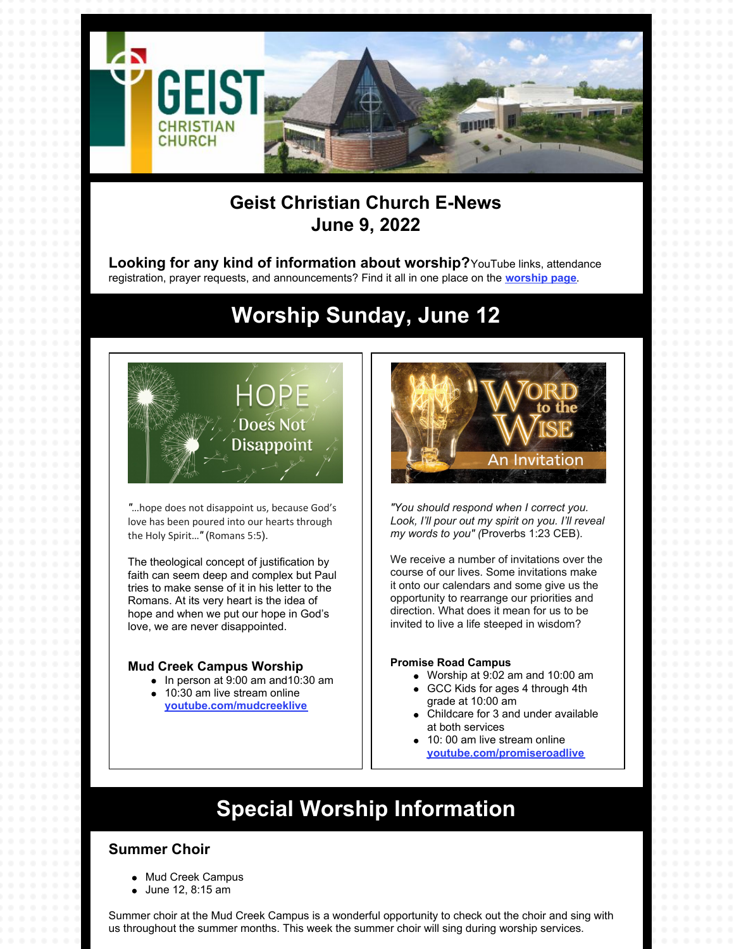

### **Geist Christian Church E-News June 9, 2022**

**Looking for any kind of information about worship?**YouTube links, attendance registration, prayer requests, and announcements? Find it all in one place on the **[worship](https://geistchristian.org/worship-at-geist-christian-church/) page**.

# **Worship Sunday, June 12**



*"*…hope does not disappoint us, because God's love has been poured into our hearts through the Holy Spirit…*"* (Romans 5:5).

The theological concept of justification by faith can seem deep and complex but Paul tries to make sense of it in his letter to the Romans. At its very heart is the idea of hope and when we put our hope in God's love, we are never disappointed.

#### **Mud Creek Campus Worship**

- $\bullet$  In person at 9:00 am and 10:30 am
- 10:30 am live stream online **[youtube.com/mudcreeklive](https://www.youtube.com/mudcreeklive)**



*"You should respond when I correct you. Look, I'll pour out my spirit on you. I'll reveal my words to you" (*Proverbs 1:23 CEB).

We receive a number of invitations over the course of our lives. Some invitations make it onto our calendars and some give us the opportunity to rearrange our priorities and direction. What does it mean for us to be invited to live a life steeped in wisdom?

#### **Promise Road Campus**

- Worship at 9:02 am and 10:00 am
- GCC Kids for ages 4 through 4th grade at 10:00 am
- Childcare for 3 and under available at both services
- 10: 00 am live stream online **[youtube.com/promiseroadlive](http://youtube.com/promiseroadlive)**

# **Special Worship Information**

### **Summer Choir**

- Mud Creek Campus
- June 12, 8:15 am

Summer choir at the Mud Creek Campus is a wonderful opportunity to check out the choir and sing with us throughout the summer months. This week the summer choir will sing during worship services.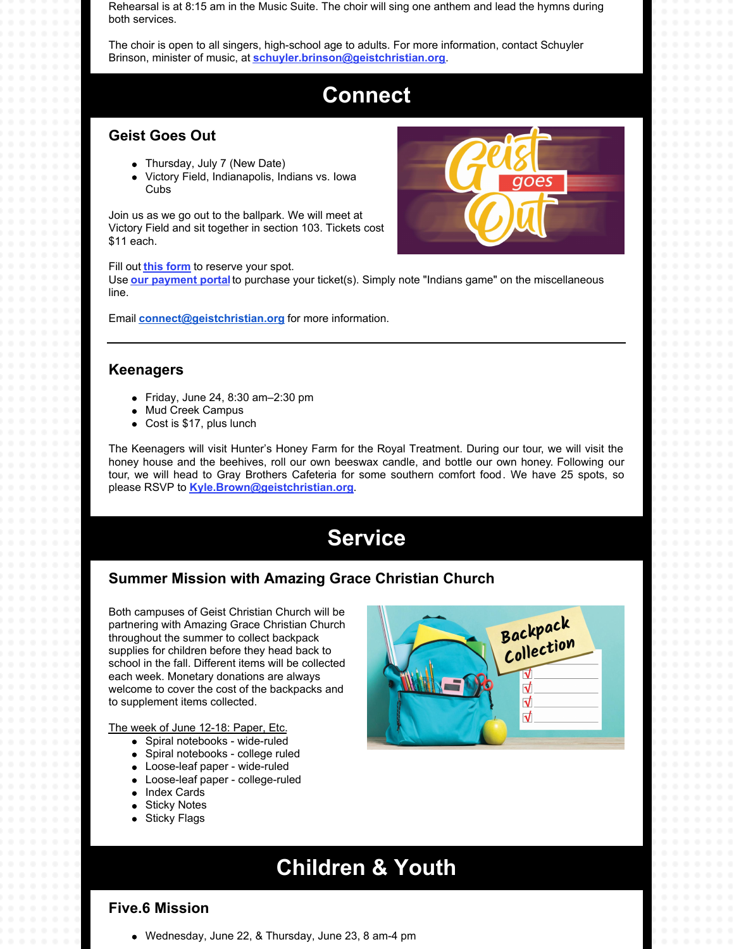Rehearsal is at 8:15 am in the Music Suite. The choir will sing one anthem and lead the hymns during both services.

The choir is open to all singers, high-school age to adults. For more information, contact Schuyler Brinson, minister of music, at **[schuyler.brinson@geistchristian.org](mailto:schuyler.brinson@geistchristian.org)**.

## **Connect**

### **Geist Goes Out**

- Thursday, July 7 (New Date)
- Victory Field, Indianapolis, Indians vs. Iowa Cubs

Join us as we go out to the ballpark. We will meet at Victory Field and sit together in section 103. Tickets cost \$11 each.

Fill out **this [form](https://docs.google.com/forms/d/e/1FAIpQLSdHTpI_Vm5xOfxR0TObJB0ZQsDJ62cZD8w7sz0xZqRliTYHgg/viewform?usp=sf_link)** to reserve your spot.

Use **our [payment](https://www.eservicepayments.com/cgi-bin/Vanco_ver3.vps?appver3=wWsk24ZWJSTZKsGd1RMKlg0BDvsSG3VIWQCPJNNxD8upkiY7JlDavDsozUE7KG0nFx2NSo8LdUKGuGuF396vbZ5UQKRsPBi1g0XqATBcik4iYnTg5dP4O6rpX5QvPEWlBhHDN59kLZFffwKfYERpQhzatKxiy3bc4Xumz99m2Rc=&ver=3) portal** to purchase your ticket(s). Simply note "Indians game" on the miscellaneous line.

Email **[connect@geistchristian.org](mailto:connect@geistchristian.org)** for more information.

### **Keenagers**

- Friday, June 24, 8:30 am–2:30 pm
- Mud Creek Campus
- Cost is \$17, plus lunch

The Keenagers will visit Hunter's Honey Farm for the Royal Treatment. During our tour, we will visit the honey house and the beehives, roll our own beeswax candle, and bottle our own honey. Following our tour, we will head to Gray Brothers Cafeteria for some southern comfort food. We have 25 spots, so please RSVP to **[Kyle.Brown@geistchristian.org](mailto:Kyle.Brown@geistchristian.org)**.

## **Service**

### **Summer Mission with Amazing Grace Christian Church**

Both campuses of Geist Christian Church will be partnering with Amazing Grace Christian Church throughout the summer to collect backpack supplies for children before they head back to school in the fall. Different items will be collected each week. Monetary donations are always welcome to cover the cost of the backpacks and to supplement items collected.

The week of June 12-18: Paper, Etc.

- Spiral notebooks wide-ruled
- Spiral notebooks college ruled
- Loose-leaf paper wide-ruled
- Loose-leaf paper college-ruled
- Index Cards
- **•** Sticky Notes
- Sticky Flags



# **Children & Youth**

### **Five.6 Mission**

Wednesday, June 22, & Thursday, June 23, 8 am-4 pm

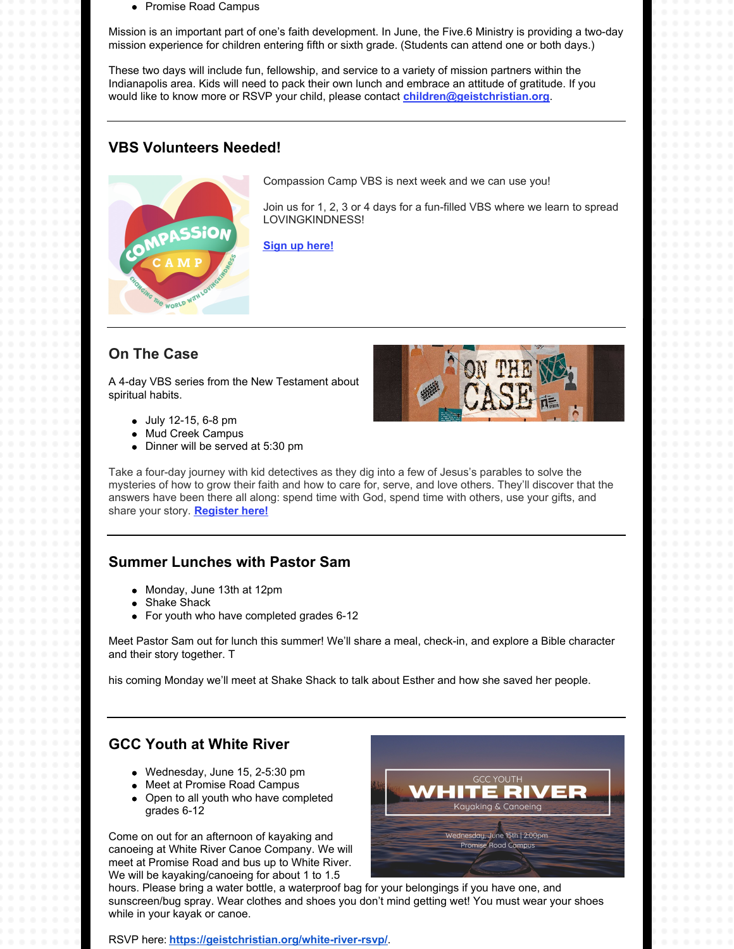• Promise Road Campus

Mission is an important part of one's faith development. In June, the Five.6 Ministry is providing a two-day mission experience for children entering fifth or sixth grade. (Students can attend one or both days.)

These two days will include fun, fellowship, and service to a variety of mission partners within the Indianapolis area. Kids will need to pack their own lunch and embrace an attitude of gratitude. If you would like to know more or RSVP your child, please contact **[children@geistchristian.org](mailto:children@geistchristian.org)**.

### **VBS Volunteers Needed!**



Compassion Camp VBS is next week and we can use you!

Join us for 1, 2, 3 or 4 days for a fun-filled VBS where we learn to spread LOVINGKINDNESS!

**Sign up [here!](https://geistchristian.shelbynextchms.com/external/form/b3b6e3d9-785c-4140-89a1-7cfeb0edeff9)**

### **On The Case**

A 4-day VBS series from the New Testament about spiritual habits.

- July 12-15, 6-8 pm
- Mud Creek Campus
- Dinner will be served at 5:30 pm

Take a four-day journey with kid detectives as they dig into a few of Jesus's parables to solve the mysteries of how to grow their faith and how to care for, serve, and love others. They'll discover that the answers have been there all along: spend time with God, spend time with others, use your gifts, and share your story. **[Register](https://forms.office.com/r/C5pWHP5YNP) here!**

### **Summer Lunches with Pastor Sam**

- Monday, June 13th at 12pm
- Shake Shack
- For youth who have completed grades 6-12

Meet Pastor Sam out for lunch this summer! We'll share a meal, check-in, and explore a Bible character and their story together. T

his coming Monday we'll meet at Shake Shack to talk about Esther and how she saved her people.

### **GCC Youth at White River**

- Wednesday, June 15, 2-5:30 pm
- Meet at Promise Road Campus
- Open to all youth who have completed grades 6-12

Come on out for an afternoon of kayaking and canoeing at White River Canoe Company. We will meet at Promise Road and bus up to White River. We will be kayaking/canoeing for about 1 to 1.5

Kayaking & Canoeing Wednesday, June 15th | 2:00pm **Promise Road Campus** 

CASE

hours. Please bring a water bottle, a waterproof bag for your belongings if you have one, and sunscreen/bug spray. Wear clothes and shoes you don't mind getting wet! You must wear your shoes while in your kayak or canoe.

RSVP here: **<https://geistchristian.org/white-river-rsvp/>**.